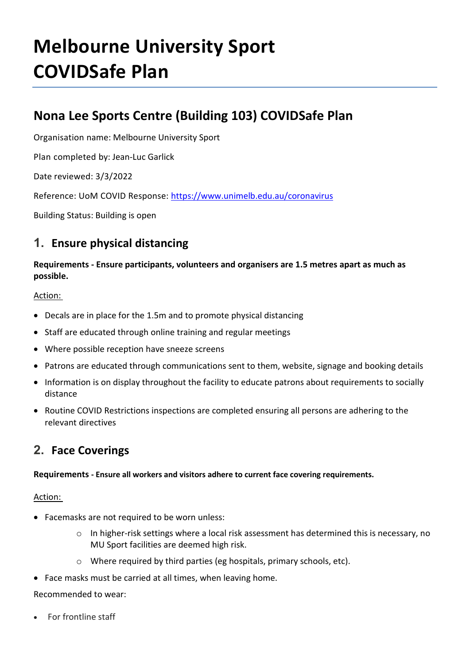# **Melbourne University Sport COVIDSafe Plan**

## **Nona Lee Sports Centre (Building 103) COVIDSafe Plan**

Organisation name: Melbourne University Sport

Plan completed by: Jean-Luc Garlick

Date reviewed: 3/3/2022

Reference: UoM COVID Response:<https://www.unimelb.edu.au/coronavirus>

Building Status: Building is open

## **1. Ensure physical distancing**

#### **Requirements - Ensure participants, volunteers and organisers are 1.5 metres apart as much as possible.**

#### Action:

- Decals are in place for the 1.5m and to promote physical distancing
- Staff are educated through online training and regular meetings
- Where possible reception have sneeze screens
- Patrons are educated through communications sent to them, website, signage and booking details
- Information is on display throughout the facility to educate patrons about requirements to socially distance
- Routine COVID Restrictions inspections are completed ensuring all persons are adhering to the relevant directives

## **2. Face Coverings**

#### **Requirements - Ensure all workers and visitors adhere to current face covering requirements.**

#### Action:

- Facemasks are not required to be worn unless:
	- $\circ$  In higher-risk settings where a local risk assessment has determined this is necessary, no MU Sport facilities are deemed high risk.
	- o Where required by third parties (eg hospitals, primary schools, etc).
- Face masks must be carried at all times, when leaving home.

#### Recommended to wear:

• For frontline staff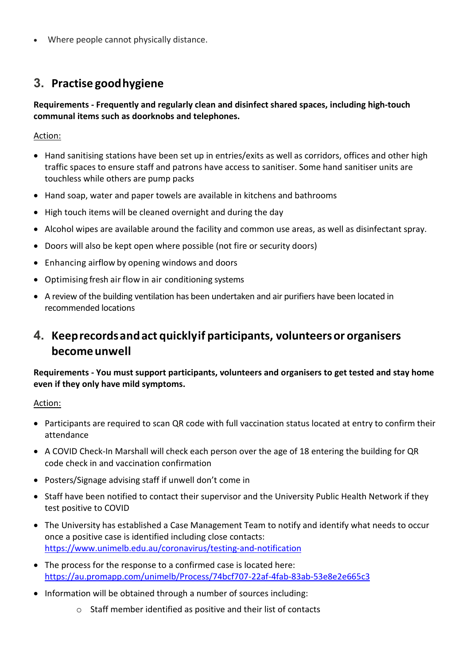• Where people cannot physically distance.

### **3. Practise goodhygiene**

#### **Requirements - Frequently and regularly clean and disinfect shared spaces, including high-touch communal items such as doorknobs and telephones.**

Action:

- Hand sanitising stations have been set up in entries/exits as well as corridors, offices and other high traffic spaces to ensure staff and patrons have access to sanitiser. Some hand sanitiser units are touchless while others are pump packs
- Hand soap, water and paper towels are available in kitchens and bathrooms
- High touch items will be cleaned overnight and during the day
- Alcohol wipes are available around the facility and common use areas, as well as disinfectant spray.
- Doors will also be kept open where possible (not fire or security doors)
- Enhancing airflow by opening windows and doors
- Optimising fresh air flow in air conditioning systems
- A review of the building ventilation has been undertaken and air purifiers have been located in recommended locations

## **4. Keeprecordsandact quicklyif participants, volunteersor organisers becomeunwell**

#### **Requirements - You must support participants, volunteers and organisers to get tested and stay home even if they only have mild symptoms.**

#### Action:

- Participants are required to scan QR code with full vaccination status located at entry to confirm their attendance
- A COVID Check-In Marshall will check each person over the age of 18 entering the building for QR code check in and vaccination confirmation
- Posters/Signage advising staff if unwell don't come in
- Staff have been notified to contact their supervisor and the University Public Health Network if they test positive to COVID
- The University has established a Case Management Team to notify and identify what needs to occur once a positive case is identified including close contacts: <https://www.unimelb.edu.au/coronavirus/testing-and-notification>
- The process for the response to a confirmed case is located here: <https://au.promapp.com/unimelb/Process/74bcf707-22af-4fab-83ab-53e8e2e665c3>
- Information will be obtained through a number of sources including:
	- o Staff member identified as positive and their list of contacts